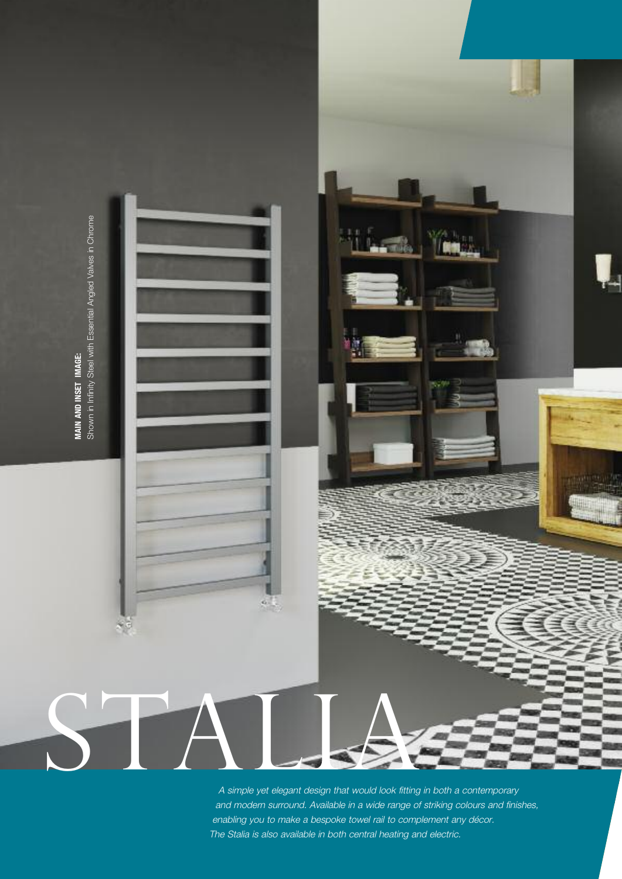

and modern surround. Available in <sup>a</sup> wide range of striking colours and finishes, enabling you to make <sup>a</sup> bespoke towel rail to complement any décor. The Stalia is also available in both central heating and electric.